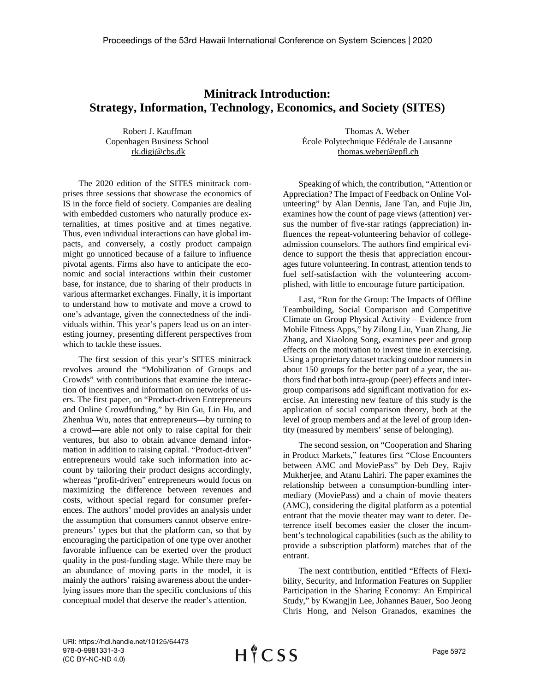## **Minitrack Introduction: Strategy, Information, Technology, Economics, and Society (SITES)**

Robert J. Kauffman Copenhagen Business School rk.digi@cbs.dk

The 2020 edition of the SITES minitrack comprises three sessions that showcase the economics of IS in the force field of society. Companies are dealing with embedded customers who naturally produce externalities, at times positive and at times negative. Thus, even individual interactions can have global impacts, and conversely, a costly product campaign might go unnoticed because of a failure to influence pivotal agents. Firms also have to anticipate the economic and social interactions within their customer base, for instance, due to sharing of their products in various aftermarket exchanges. Finally, it is important to understand how to motivate and move a crowd to one's advantage, given the connectedness of the individuals within. This year's papers lead us on an interesting journey, presenting different perspectives from which to tackle these issues.

The first session of this year's SITES minitrack revolves around the "Mobilization of Groups and Crowds" with contributions that examine the interaction of incentives and information on networks of users. The first paper, on "Product-driven Entrepreneurs and Online Crowdfunding," by Bin Gu, Lin Hu, and Zhenhua Wu, notes that entrepreneurs—by turning to a crowd—are able not only to raise capital for their ventures, but also to obtain advance demand information in addition to raising capital. "Product-driven" entrepreneurs would take such information into account by tailoring their product designs accordingly, whereas "profit-driven" entrepreneurs would focus on maximizing the difference between revenues and costs, without special regard for consumer preferences. The authors' model provides an analysis under the assumption that consumers cannot observe entrepreneurs' types but that the platform can, so that by encouraging the participation of one type over another favorable influence can be exerted over the product quality in the post-funding stage. While there may be an abundance of moving parts in the model, it is mainly the authors' raising awareness about the underlying issues more than the specific conclusions of this conceptual model that deserve the reader's attention.

Thomas A. Weber École Polytechnique Fédérale de Lausanne thomas.weber@epfl.ch

Speaking of which, the contribution, "Attention or Appreciation? The Impact of Feedback on Online Volunteering" by Alan Dennis, Jane Tan, and Fujie Jin, examines how the count of page views (attention) versus the number of five-star ratings (appreciation) influences the repeat-volunteering behavior of collegeadmission counselors. The authors find empirical evidence to support the thesis that appreciation encourages future volunteering. In contrast, attention tends to fuel self-satisfaction with the volunteering accomplished, with little to encourage future participation.

Last, "Run for the Group: The Impacts of Offline Teambuilding, Social Comparison and Competitive Climate on Group Physical Activity – Evidence from Mobile Fitness Apps," by Zilong Liu, Yuan Zhang, Jie Zhang, and Xiaolong Song, examines peer and group effects on the motivation to invest time in exercising. Using a proprietary dataset tracking outdoor runners in about 150 groups for the better part of a year, the authors find that both intra-group (peer) effects and intergroup comparisons add significant motivation for exercise. An interesting new feature of this study is the application of social comparison theory, both at the level of group members and at the level of group identity (measured by members' sense of belonging).

The second session, on "Cooperation and Sharing in Product Markets," features first "Close Encounters between AMC and MoviePass" by Deb Dey, Rajiv Mukherjee, and Atanu Lahiri. The paper examines the relationship between a consumption-bundling intermediary (MoviePass) and a chain of movie theaters (AMC), considering the digital platform as a potential entrant that the movie theater may want to deter. Deterrence itself becomes easier the closer the incumbent's technological capabilities (such as the ability to provide a subscription platform) matches that of the entrant.

The next contribution, entitled "Effects of Flexibility, Security, and Information Features on Supplier Participation in the Sharing Economy: An Empirical Study," by Kwangjin Lee, Johannes Bauer, Soo Jeong Chris Hong, and Nelson Granados, examines the